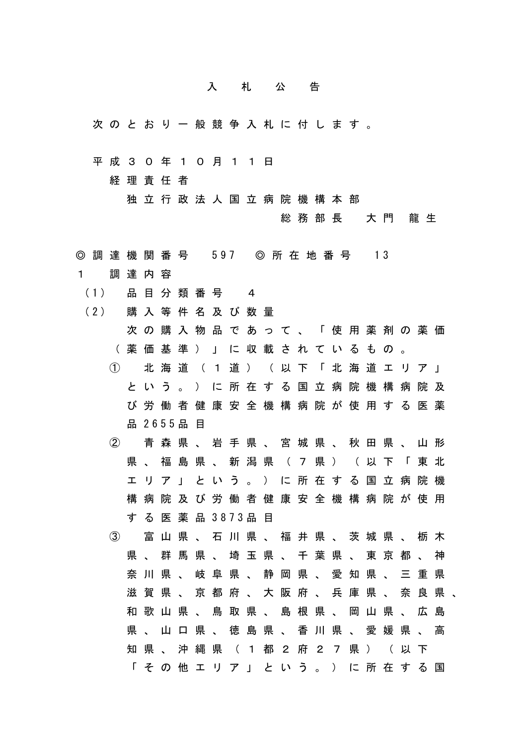## 入 札 公 告

- 次 の と お り 一 般 競 争 入 札 に 付 し ま す 。
- 平 成 3 0 年 1 0 月 1 1 日

経 理 責 任 者

独 立 行 政 法 人 国 立 病 院 機 構 本 部

総 務 部 長 大 門 龍 生

- ◎ 調 達 機 関 番 号 597 ◎ 所 在 地 番 号 13
- 1 調 達 内 容
- (1) 品 目 分 類 番 号 4
- (2) 購入等件名及び数量
	- 次 の 購 入 物 品 で あ っ て 、 「 使 用 薬 剤 の 薬 価 ( 薬 価 基 準 ) 」 に 収 載 さ れ て い る も の 。
	- ① 北 海 道 ( 1 道 ) ( 以 下 「 北 海 道 エ リ ア 」 と い う 。 ) に 所 在 す る 国 立 病 院 機 構 病 院 及 び 労 働 者 健 康 安 全 機 構 病 院 が 使 用 す る 医 薬 品 2 6 5 5 品 目
	- ② 青 森 県 、 岩 手 県 、 宮 城 県 、 秋 田 県 、 山 形 県 、 福 島 県 、 新 潟 県 ( 7 県 ) ( 以 下 「 東 北 エ リ ア 」 と い う 。 ) に 所 在 す る 国 立 病 院 機 構 病 院 及 び 労 働 者 健 康 安 全 機 構 病 院 が 使 用 す る 医 薬 品 3 8 7 3 品 目
	- ③ 富 山 県 、 石 川 県 、 福 井 県 、 茨 城 県 、 栃 木 県 、 群 馬 県 、 埼 玉 県 、 千 葉 県 、 東 京 都 、 神 奈 川 県 、 岐 阜 県 、 静 岡 県 、 愛 知 県 、 三 重 県 滋 賀 県 、 京 都 府 、 大 阪 府 、 兵 庫 県 、 奈 良 県 、 和 歌 山 県 、 鳥 取 県 、 島 根 県 、 岡 山 県 、 広 島 県 、 山 口 県 、 徳 島 県 、 香 川 県 、 愛 媛 県 、 高 知 県 、 沖 縄 県 ( 1 都 2 府 2 7 県 ) ( 以 下 「 そ の 他 エ リ ア 」 と い う 。 ) に 所 在 す る 国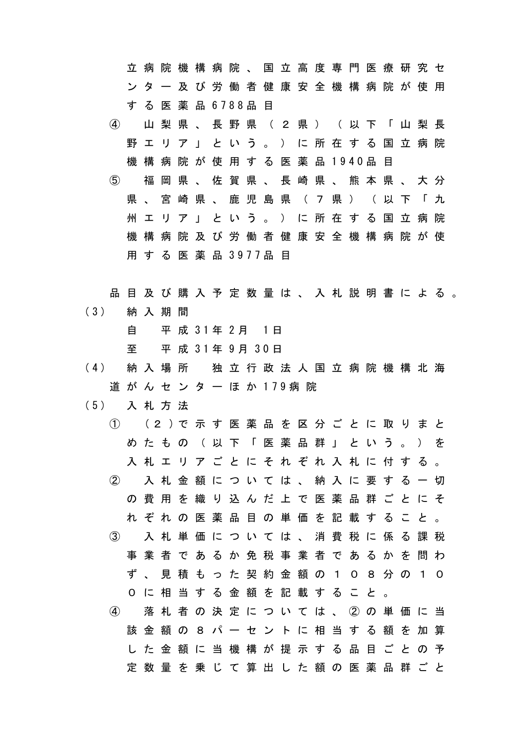立 病 院 機 構 病 院 、 国 立 高 度 専 門 医 療 研 究 セ ン タ ー 及 び 労 働 者 健 康 安 全 機 構 病 院 が 使 用 す る 医 薬 品 6 7 8 8 品 目 ④ 山 梨 県 、 長 野 県 ( 2 県 ) ( 以 下 「 山 梨 長 野 エ リ ア 」 と い う 。 ) に 所 在 す る 国 立 病 院 機 構 病 院 が 使 用 す る 医 薬 品 1 9 4 0 品 目 ⑤ 福 岡 県 、 佐 賀 県 、 長 崎 県 、 熊 本 県 、 大 分 県 、 宮 崎 県 、 鹿 児 島 県 ( 7 県 ) ( 以 下 「 九 州 エ リ ア 」 と い う 。 ) に 所 在 す る 国 立 病 院 機 構 病 院 及 び 労 働 者 健 康 安 全 機 構 病 院 が 使 用 す る 医 薬 品 3 9 7 7 品 目

品 目 及 び 購 入 予 定 数 量 は 、 入 札 説 明 書 に よ る 。 ( 3 ) 納 入 期 間

自 平 成 3 1 年 2 月 1 日

至 平 成 3 1 年 9 月 3 0 日

- ( 4 ) 納 入 場 所 独 立 行 政 法 人 国 立 病 院 機 構 北 海 道 が ん セ ン タ ー ほ か 179 病 院
- ( 5 ) 入 札 方 法
	- ① ( 2 ) で 示 す 医 薬 品 を 区 分 ご と に 取 り ま と め た も の ( 以 下 「 医 薬 品 群 」 と い う 。 ) を 入 札 エ リ ア ご と に そ れ ぞ れ 入 札 に 付 す る 。 ② 入 札 金 額 に つ い て は 、 納 入 に 要 す る 一 切 の 費 用 を 織 り 込 ん だ 上 で 医 薬 品 群 ご と に そ れ ぞ れ の 医 薬 品 目 の 単 価 を 記 載 す る こ と 。 ③ 入 札 単 価 に つ い て は 、 消 費 税 に 係 る 課 税 事 業 者 で あ る か 免 税 事 業 者 で あ る か を 問 わ ず 、 見 積 も っ た 契 約 金 額 の 1 0 8 分 の 1 0 0 に 相 当 す る 金 額 を 記 載 す る こ と 。 ④ 落 札 者 の 決 定 に つ い て は 、 ② の 単 価 に 当 該 金 額 の 8 パ ー セ ン ト に 相 当 す る 額 を 加 算 し た 金 額 に 当 機 構 が 提 示 す る 品 目 ご と の 予

定 数 量 を 乗 じ て 算 出 し た 額 の 医 薬 品 群 ご と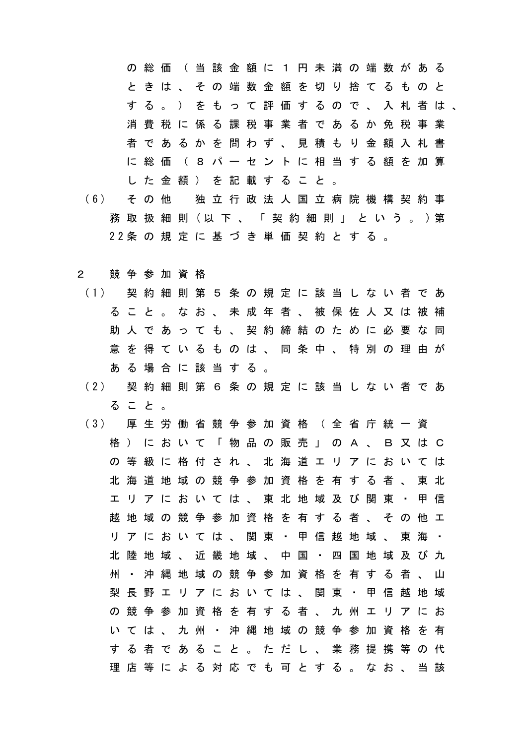の 総 価 ( 当 該 金 額 に 1 円 未 満 の 端 数 が あ る と き は 、 そ の 端 数 金 額 を 切 り 捨 て る も の と す る 。 ) を も っ て 評 価 す る の で 、 入 札 者 は 、 消 費 税 に 係 る 課 税 事 業 者 で あ る か 免 税 事 業 者 で あ る か を 問 わ ず 、 見 積 も り 金 額 入 札 書 に 総 価 ( 8 パ ー セ ン ト に 相 当 す る 額 を 加 算 し た 金 額 ) を 記 載 す る こ と 。

- ( 6 ) そ の 他 独 立 行 政 法 人 国 立 病 院 機 構 契 約 事 務 取 扱 細 則 (以 下 、 「 契 約 細 則 」 と い う 。 ) 第 2 2 条 の 規 定 に 基 づ き 単 価 契 約 と す る 。
- 2 競 争 参 加 資 格
	- ( 1 ) 契 約 細 則 第 5 条 の 規 定 に 該 当 し な い 者 で あ る こ と 。 な お 、 未 成 年 者 、 被 保 佐 人 又 は 被 補 助 人 で あ っ て も 、 契 約 締 結 の た め に 必 要 な 同 意 を 得 て い る も の は 、 同 条 中 、 特 別 の 理 由 が あ る 場 合 に 該 当 す る 。
	- ( 2 ) 契 約 細 則 第 6 条 の 規 定 に 該 当 し な い 者 で あ る こ と 。
	- ( 3 ) 厚 生 労 働 省 競 争 参 加 資 格 ( 全 省 庁 統 一 資 格 ) に お い て 「 物 品 の 販 売 」 の A 、 B 又 は C の 等 級 に 格 付 さ れ 、 北 海 道 エ リ ア に お い て は 北 海 道 地 域 の 競 争 参 加 資 格 を 有 す る 者 、 東 北 エ リ ア に お い て は 、 東 北 地 域 及 び 関 東 ・ 甲 信 越 地 域 の 競 争 参 加 資 格 を 有 す る 者 、 そ の 他 エ リ ア に お い て は 、 関 東 ・ 甲 信 越 地 域 、 東 海 ・ 北 陸 地 域 、 近 畿 地 域 、 中 国 ・ 四 国 地 域 及 び 九 州 ・ 沖 縄 地 域 の 競 争 参 加 資 格 を 有 す る 者 、 山 梨 長 野 エ リ ア に お い て は 、 関 東 ・ 甲 信 越 地 域 の 競 争 参 加 資 格 を 有 す る 者 、 九 州 エ リ ア に お い て は 、 九 州 ・ 沖 縄 地 域 の 競 争 参 加 資 格 を 有 す る 者 で あ る こ と 。 た だ し 、 業 務 提 携 等 の 代 理 店 等 に よ る 対 応 で も 可 と す る 。 な お 、 当 該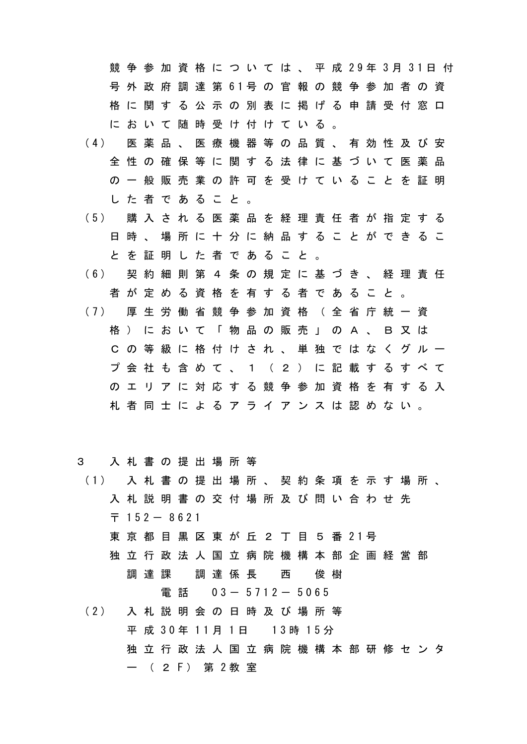競争 参 加 資 格 に つ い て は 、 平 成 29年 3月 31日 付 号 外 政 府 調 達 第 61号 の 官 報 の 競 争 参 加 者 の 資 格 に 関 す る 公 示 の 別 表 に 掲 げ る 申 請 受 付 窓 口 に お い て 随 時 受 け 付 け て い る 。

- ( 4 ) 医 薬 品 、 医 療 機 器 等 の 品 質 、 有 効 性 及 び 安 全 性 の 確 保 等 に 関 す る 法 律 に 基 づ い て 医 薬 品 の 一 般 販 売 業 の 許 可 を 受 け て い る こ と を 証 明 し た 者 で あ る こ と 。
- ( 5 ) 購 入 さ れ る 医 薬 品 を 経 理 責 任 者 が 指 定 す る 日 時 、 場 所 に 十 分 に 納 品 す る こ と が で き る こ と を 証 明 し た 者 で あ る こ と 。
- ( 6 ) 契 約 細 則 第 4 条 の 規 定 に 基 づ き 、 経 理 責 任 者 が 定 め る 資 格 を 有 す る 者 で あ る こ と 。
- ( 7 ) 厚 生 労 働 省 競 争 参 加 資 格 ( 全 省 庁 統 一 資 格 ) に お い て 「 物 品 の 販 売 」 の A 、 B 又 は C の 等 級 に 格 付 け さ れ 、 単 独 で は な く グ ル ー プ 会 社 も 含 め て 、 1 ( 2 ) に 記 載 す る す べ て の エ リ ア に 対 応 す る 競 争 参 加 資 格 を 有 す る 入 札 者 同 士 に よ る ア ラ イ ア ン ス は 認 め な い 。

## 3 入 札 書 の 提 出 場 所 等

- ( 1 ) 入 札 書 の 提 出 場 所 、 契 約 条 項 を 示 す 場 所 、 入 札 説 明 書 の 交 付 場 所 及 び 問 い 合 わ せ 先  $\overline{7}$  152 - 8621
	- 東 京 都 目 黒 区 東 が 丘 2 丁 目 5 番 21号
	- 独 立 行 政 法 人 国 立 病 院 機 構 本 部 企 画 経 営 部 調 達 課 調 達 係 長 西 俊 樹

電話 0 3 - 5 7 1 2 - 5 0 6 5

( 2 ) 入 札 説 明 会 の 日 時 及 び 場 所 等 平 成 30年 11月 1日 13時 15分 独 立 行 政 法 人 国 立 病 院 機 構 本 部 研 修 セ ン タ ー ( 2 F ) 第 2 教室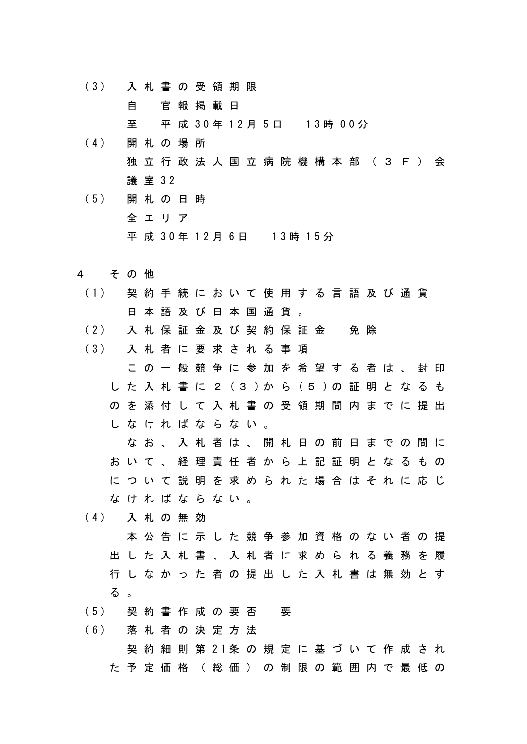( 3 ) 入 札 書 の 受 領 期 限

自 官 報 掲 載 日

至 平 成 30年 12月 5日 13時 00分

- (4) 開札の場所 独 立 行 政 法 人 国 立 病 院 機 構 本 部 ( 3 F ) 会 議 室 3 2
- ( 5 ) 開 札 の 日 時 全 エ リ ア 平 成 30年 12月 6日 13時 15分
- 4 そ の 他
- ( 1 ) 契 約 手 続 に お い て 使 用 す る 言 語 及 び 通 貨 日 本 語 及 び 日 本 国 通 貨 。
- ( 2 ) 入 札 保 証 金 及 び 契 約 保 証 金 免 除

( 3 ) 入 札 者 に 要 求 さ れ る 事 項

こ の 一 般 競 争 に 参 加 を 希 望 す る 者 は 、 封 印 し た 入 札 書 に 2 ( 3 ) か ら ( 5 ) の 証 明 と な る も の を 添 付 し て 入 札 書 の 受 領 期 間 内 ま で に 提 出 し な け れ ば な ら な い 。

な お 、 入 札 者 は 、 開 札 日 の 前 日 ま で の 間 に お い て 、 経 理 責 任 者 か ら 上 記 証 明 と な る も の に つ い て 説 明 を 求 め ら れ た 場 合 は そ れ に 応 じ な け れ ば な ら な い 。

( 4 ) 入 札 の 無 効

本 公 告 に 示 し た 競 争 参 加 資 格 の な い 者 の 提 出 し た 入 札 書 、 入 札 者 に 求 め ら れ る 義 務 を 履 行 し な か っ た 者 の 提 出 し た 入 札 書 は 無 効 と す る 。

(5) 契約書作成の要否 要

( 6 ) 落 札 者 の 決 定 方 法

契 約 細 則 第 2 1 条 の 規 定 に 基 づ い て 作 成 さ れ た 予 定 価 格 ( 総 価 ) の 制 限 の 範 囲 内 で 最 低 の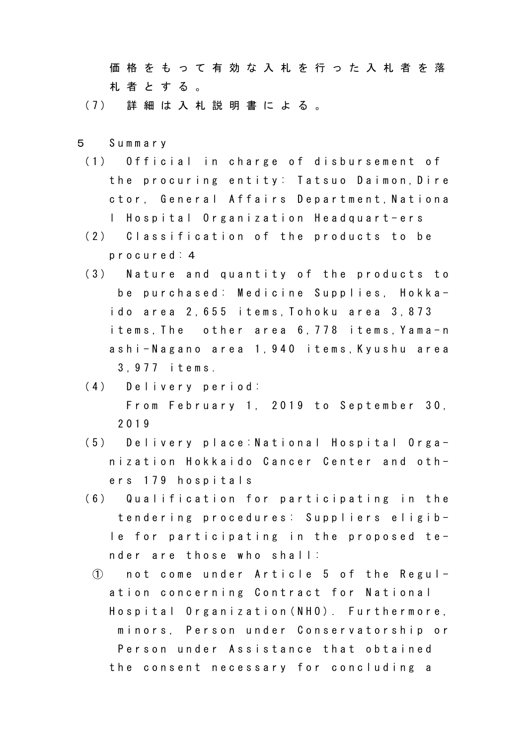価 格 を も っ て 有 効 な 入 札 を 行 っ た 入 札 者 を 落 札 者 と す る 。

( 7 ) 詳 細 は 入 札 説 明 書 に よ る 。

- 5 S u m m a r y
	- (1) Official in charge of disbursement of the procuring entity: Tatsuo Daimon, Dire ctor, General Affairs Department, Nationa l Hospital Organization Headquart-ers
	- (2) Classification of the products to be p r o c u r e d : 4
	- (3) Nature and quantity of the products to be purchased: Medicine Supplies, Hokkai do area 2,655 items, Tohoku area 3,873 items, The other area 6, 778 items, Yama-n ashi-Nagano area 1,940 items, Kyushu area 3 , 9 7 7 i t e m s .
	- (4) Delivery period: From February 1, 2019 to September 30, 2 0 1 9
	- (5) Delivery place: National Hospital Organization Hokkaido Cancer Center and others 179 hospitals
	- (6) Qualification for participating in the tendering procedures: Suppliers eligible for participating in the proposed tender are those who shall:
		- $\bigcirc$  not come under Article 5 of the Regulation concerning Contract for National Hospital Organization (NHO). Furthermore, minors, Person under Conservatorship or Person under Assistance that obtained the consent necessary for concluding a